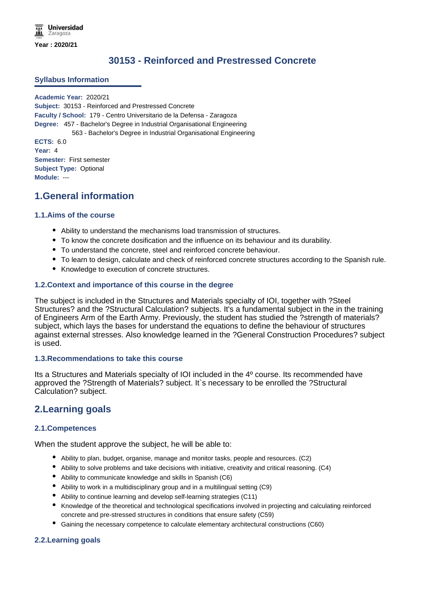# **30153 - Reinforced and Prestressed Concrete**

#### **Syllabus Information**

**Academic Year:** 2020/21 **Subject:** 30153 - Reinforced and Prestressed Concrete **Faculty / School:** 179 - Centro Universitario de la Defensa - Zaragoza **Degree:** 457 - Bachelor's Degree in Industrial Organisational Engineering 563 - Bachelor's Degree in Industrial Organisational Engineering **ECTS:** 6.0 **Year:** 4 **Semester:** First semester **Subject Type:** Optional **Module:** ---

# **1.General information**

#### **1.1.Aims of the course**

- Ability to understand the mechanisms load transmission of structures.
- To know the concrete dosification and the influence on its behaviour and its durability.
- To understand the concrete, steel and reinforced concrete behaviour.
- To learn to design, calculate and check of reinforced concrete structures according to the Spanish rule.
- Knowledge to execution of concrete structures.

#### **1.2.Context and importance of this course in the degree**

The subject is included in the Structures and Materials specialty of IOI, together with ?Steel Structures? and the ?Structural Calculation? subjects. It's a fundamental subject in the in the training of Engineers Arm of the Earth Army. Previously, the student has studied the ?strength of materials? subject, which lays the bases for understand the equations to define the behaviour of structures against external stresses. Also knowledge learned in the ?General Construction Procedures? subject is used.

#### **1.3.Recommendations to take this course**

Its a Structures and Materials specialty of IOI included in the 4º course. Its recommended have approved the ?Strength of Materials? subject. It`s necessary to be enrolled the ?Structural Calculation? subject.

# **2.Learning goals**

## **2.1.Competences**

When the student approve the subject, he will be able to:

- Ability to plan, budget, organise, manage and monitor tasks, people and resources. (C2)
- Ability to solve problems and take decisions with initiative, creativity and critical reasoning. (C4)
- Ability to communicate knowledge and skills in Spanish (C6)
- Ability to work in a multidisciplinary group and in a multilingual setting (C9)
- Ability to continue learning and develop self-learning strategies (C11)
- Knowledge of the theoretical and technological specifications involved in projecting and calculating reinforced concrete and pre-stressed structures in conditions that ensure safety (C59)
- Gaining the necessary competence to calculate elementary architectural constructions (C60)

## **2.2.Learning goals**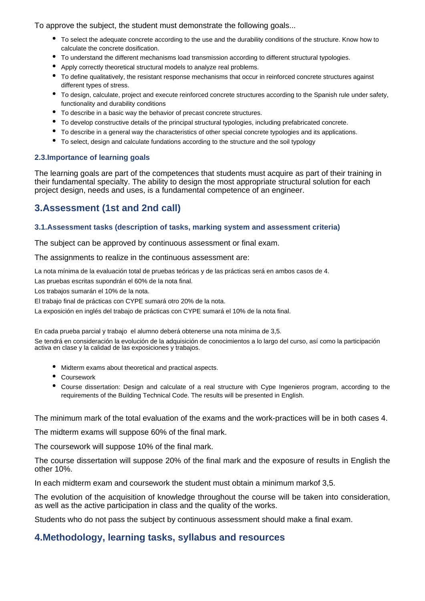To approve the subject, the student must demonstrate the following goals...

- To select the adequate concrete according to the use and the durability conditions of the structure. Know how to calculate the concrete dosification.
- To understand the different mechanisms load transmission according to different structural typologies.
- Apply correctly theoretical structural models to analyze real problems.
- To define qualitatively, the resistant response mechanisms that occur in reinforced concrete structures against different types of stress.
- To design, calculate, project and execute reinforced concrete structures according to the Spanish rule under safety, functionality and durability conditions
- To describe in a basic way the behavior of precast concrete structures.
- To develop constructive details of the principal structural typologies, including prefabricated concrete.
- To describe in a general way the characteristics of other special concrete typologies and its applications.
- To select, design and calculate fundations according to the structure and the soil typology

## **2.3.Importance of learning goals**

The learning goals are part of the competences that students must acquire as part of their training in their fundamental specialty. The ability to design the most appropriate structural solution for each project design, needs and uses, is a fundamental competence of an engineer.

# **3.Assessment (1st and 2nd call)**

## **3.1.Assessment tasks (description of tasks, marking system and assessment criteria)**

The subject can be approved by continuous assessment or final exam.

The assignments to realize in the continuous assessment are:

La nota mínima de la evaluación total de pruebas teóricas y de las prácticas será en ambos casos de 4.

Las pruebas escritas supondrán el 60% de la nota final.

Los trabajos sumarán el 10% de la nota.

El trabajo final de prácticas con CYPE sumará otro 20% de la nota.

La exposición en inglés del trabajo de prácticas con CYPE sumará el 10% de la nota final.

En cada prueba parcial y trabajo el alumno deberá obtenerse una nota mínima de 3,5.

Se tendrá en consideración la evolución de la adquisición de conocimientos a lo largo del curso, así como la participación activa en clase y la calidad de las exposiciones y trabajos.

- $\bullet$  Midterm exams about theoretical and practical aspects.
- Coursework
- Course dissertation: Design and calculate of a real structure with Cype Ingenieros program, according to the requirements of the Building Technical Code. The results will be presented in English.

The minimum mark of the total evaluation of the exams and the work-practices will be in both cases 4.

The midterm exams will suppose 60% of the final mark.

The coursework will suppose 10% of the final mark.

The course dissertation will suppose 20% of the final mark and the exposure of results in English the other 10%.

In each midterm exam and coursework the student must obtain a minimum markof 3,5.

The evolution of the acquisition of knowledge throughout the course will be taken into consideration, as well as the active participation in class and the quality of the works.

Students who do not pass the subject by continuous assessment should make a final exam.

## **4.Methodology, learning tasks, syllabus and resources**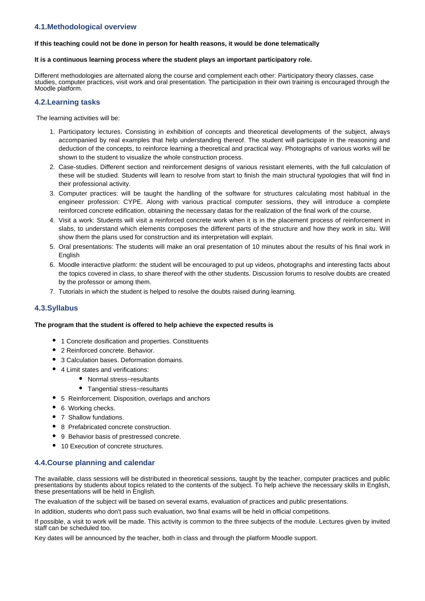#### **4.1.Methodological overview**

#### **If this teaching could not be done in person for health reasons, it would be done telematically**

#### **It is a continuous learning process where the student plays an important participatory role.**

Different methodologies are alternated along the course and complement each other: Participatory theory classes, case studies, computer practices, visit work and oral presentation. The participation in their own training is encouraged through the Moodle platform.

#### **4.2.Learning tasks**

The learning activities will be:

- 1. Participatory lectures. Consisting in exhibition of concepts and theoretical developments of the subject, always accompanied by real examples that help understanding thereof. The student will participate in the reasoning and deduction of the concepts, to reinforce learning a theoretical and practical way. Photographs of various works will be shown to the student to visualize the whole construction process.
- 2. Case-studies. Different section and reinforcement designs of various resistant elements, with the full calculation of these will be studied. Students will learn to resolve from start to finish the main structural typologies that will find in their professional activity.
- 3. Computer practices: will be taught the handling of the software for structures calculating most habitual in the engineer profession: CYPE. Along with various practical computer sessions, they will introduce a complete reinforced concrete edification, obtaining the necessary datas for the realization of the final work of the course.
- 4. Visit a work: Students will visit a reinforced concrete work when it is in the placement process of reinforcement in slabs, to understand which elements composes the different parts of the structure and how they work in situ. Will show them the plans used for construction and its interpretation will explain.
- 5. Oral presentations: The students will make an oral presentation of 10 minutes about the results of his final work in English
- 6. Moodle interactive platform: the student will be encouraged to put up videos, photographs and interesting facts about the topics covered in class, to share thereof with the other students. Discussion forums to resolve doubts are created by the professor or among them.
- 7. Tutorials in which the student is helped to resolve the doubts raised during learning.

## **4.3.Syllabus**

#### **The program that the student is offered to help achieve the expected results is**

- 1 Concrete dosification and properties. Constituents
- 2 Reinforced concrete. Behavior.
- 3 Calculation bases. Deformation domains.
- 4 Limit states and verifications:
	- Normal stress~resultants
	- Tangential stress~resultants
- 5 Reinforcement. Disposition, overlaps and anchors
- 6 Working checks.
- 7 Shallow fundations.
- 8 Prefabricated concrete construction.
- 9 Behavior basis of prestressed concrete.
- 10 Execution of concrete structures.

#### **4.4.Course planning and calendar**

The available, class sessions will be distributed in theoretical sessions, taught by the teacher, computer practices and public presentations by students about topics related to the contents of the subject. To help achieve the necessary skills in English, these presentations will be held in English.

The evaluation of the subject will be based on several exams, evaluation of practices and public presentations.

In addition, students who don't pass such evaluation, two final exams will be held in official competitions.

If possible, a visit to work will be made. This activity is common to the three subjects of the module. Lectures given by invited staff can be scheduled too.

Key dates will be announced by the teacher, both in class and through the platform Moodle support.